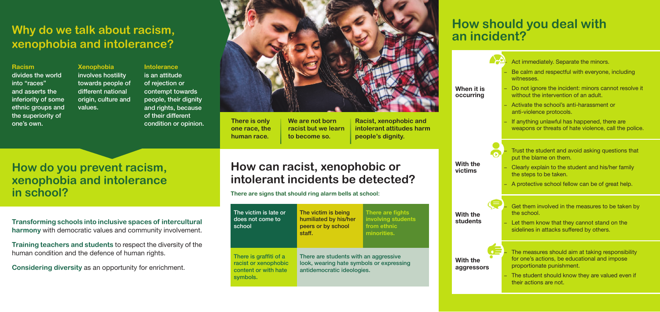## **Why do we talk about racism, xenophobia and intolerance?**

**Transforming schools into inclusive spaces of intercultural harmony** with democratic values and community involvement.

**Training teachers and students** to respect the diversity of the human condition and the defence of human rights.

**Considering diversity** as an opportunity for enrichment.

### **How can racist, xenophobic or intolerant incidents be detected?**

**There are signs that should ring alarm bells at school:**

| The victim is late or<br>does not come to<br>school                                | The victim is being<br>humiliated by his/her<br>peers or by school<br>staff.                                    | There are fights<br>involving students<br>from ethnic<br>minorities. |
|------------------------------------------------------------------------------------|-----------------------------------------------------------------------------------------------------------------|----------------------------------------------------------------------|
| There is graffiti of a<br>racist or xenophobic<br>content or with hate<br>symbols. | There are students with an aggressive<br>look, wearing hate symbols or expressing<br>antidemocratic ideologies. |                                                                      |

**When occur** 

### **How do you prevent racism, xenophobia and intolerance in school?**

#### **Racism**

**With victims**

**With stude** 

**With aggre** 

divides the world into "races" and asserts the inferiority of some ethnic groups and the superiority of one's own.

**Xenophobia**  involves hostility towards people of different national origin, culture and values.

#### **Intolerance**  is an attitude of rejection or contempt towards people, their dignity and rights, because of their different condition or opinion. **There is only**



**one race, the human race.**

**We are not born racist but we learn to become so.** 

**Racist, xenophobic and intolerant attitudes harm people's dignity.**

## **How should you deal with an incident?**

| ı it is<br>rring    | - Act immediately. Separate the minors.<br>- Be calm and respectful with everyone, including<br>witnesses.<br>Do not ignore the incident: minors cannot resolve it<br>without the intervention of an adult.<br>Activate the school's anti-harassment or<br>anti-violence protocols.<br>- If anything unlawful has happened, there are<br>weapons or threats of hate violence, call the police. |
|---------------------|------------------------------------------------------------------------------------------------------------------------------------------------------------------------------------------------------------------------------------------------------------------------------------------------------------------------------------------------------------------------------------------------|
| the<br>าร           | Trust the student and avoid asking questions that<br>put the blame on them.<br>- Clearly explain to the student and his/her family<br>the steps to be taken.<br>A protective school fellow can be of great help.                                                                                                                                                                               |
| the<br>nts:         | Get them involved in the measures to be taken by<br>the school.<br>Let them know that they cannot stand on the<br>sidelines in attacks suffered by others.                                                                                                                                                                                                                                     |
| the<br><b>ssors</b> | The measures should aim at taking responsibility<br>for one's actions, be educational and impose<br>proportionate punishment.<br>The student should know they are valued even if<br>their actions are not.                                                                                                                                                                                     |